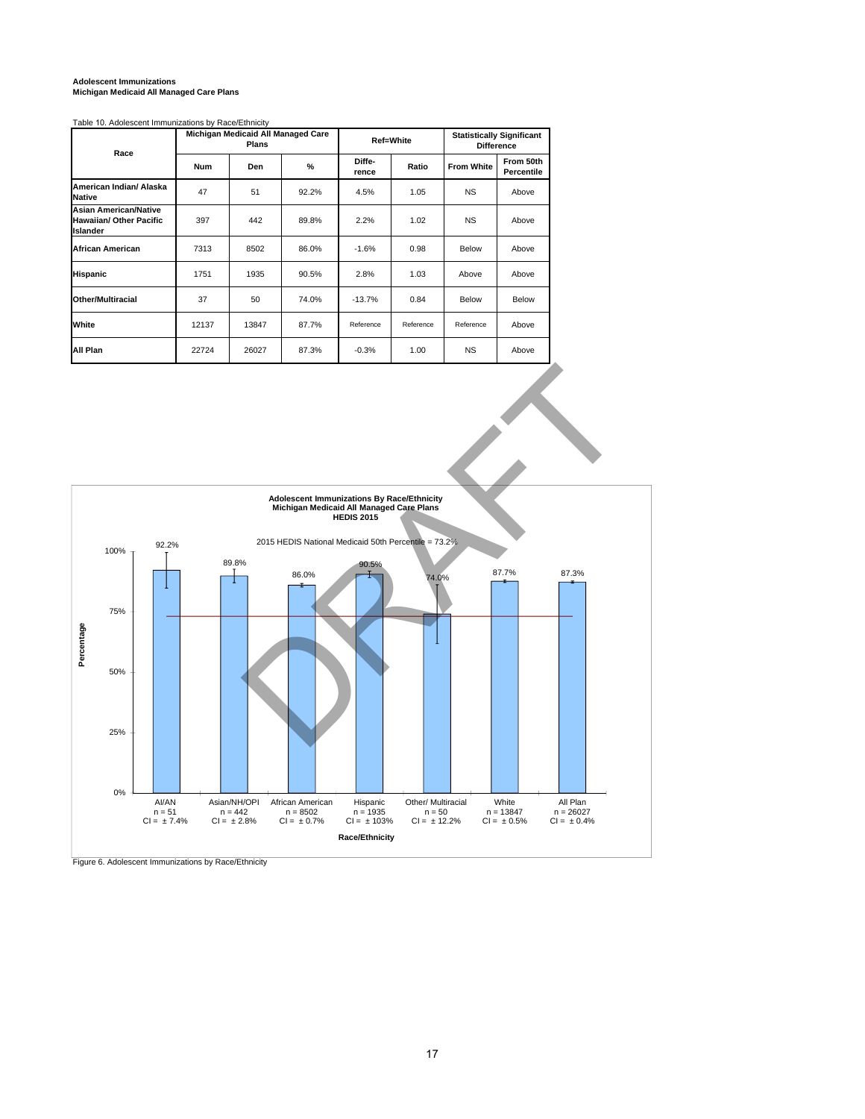## **Adolescent Immunizations Michigan Medicaid All Managed Care Plans**

Table 10. Adolescent Immunizations by Race/Ethnicity

| Race                                                                       |       | Michigan Medicaid All Managed Care<br>Plans |       |                 | Ref=White | <b>Statistically Significant</b><br><b>Difference</b> |                         |  |
|----------------------------------------------------------------------------|-------|---------------------------------------------|-------|-----------------|-----------|-------------------------------------------------------|-------------------------|--|
|                                                                            | Num   | Den                                         | %     | Diffe-<br>rence | Ratio     | <b>From White</b>                                     | From 50th<br>Percentile |  |
| American Indian/ Alaska<br><b>Native</b>                                   | 47    | 51                                          | 92.2% | 4.5%            | 1.05      | <b>NS</b>                                             | Above                   |  |
| <b>Asian American/Native</b><br><b>Hawaiian/ Other Pacific</b><br>Islander | 397   | 442                                         | 89.8% | 2.2%            | 1.02      | <b>NS</b>                                             | Above                   |  |
| <b>African American</b>                                                    | 7313  | 8502                                        | 86.0% | $-1.6%$         | 0.98      | Below                                                 | Above                   |  |
| <b>Hispanic</b>                                                            | 1751  | 1935                                        | 90.5% | 2.8%            | 1.03      | Above                                                 | Above                   |  |
| <b>Other/Multiracial</b>                                                   | 37    | 50                                          | 74.0% | $-13.7%$        | 0.84      | Below                                                 | Below                   |  |
| White                                                                      | 12137 | 13847                                       | 87.7% | Reference       | Reference | Reference                                             | Above                   |  |
| All Plan                                                                   | 22724 | 26027                                       | 87.3% | $-0.3%$         | 1.00      | <b>NS</b>                                             | Above                   |  |



Figure 6. Adolescent Immunizations by Race/Ethnicity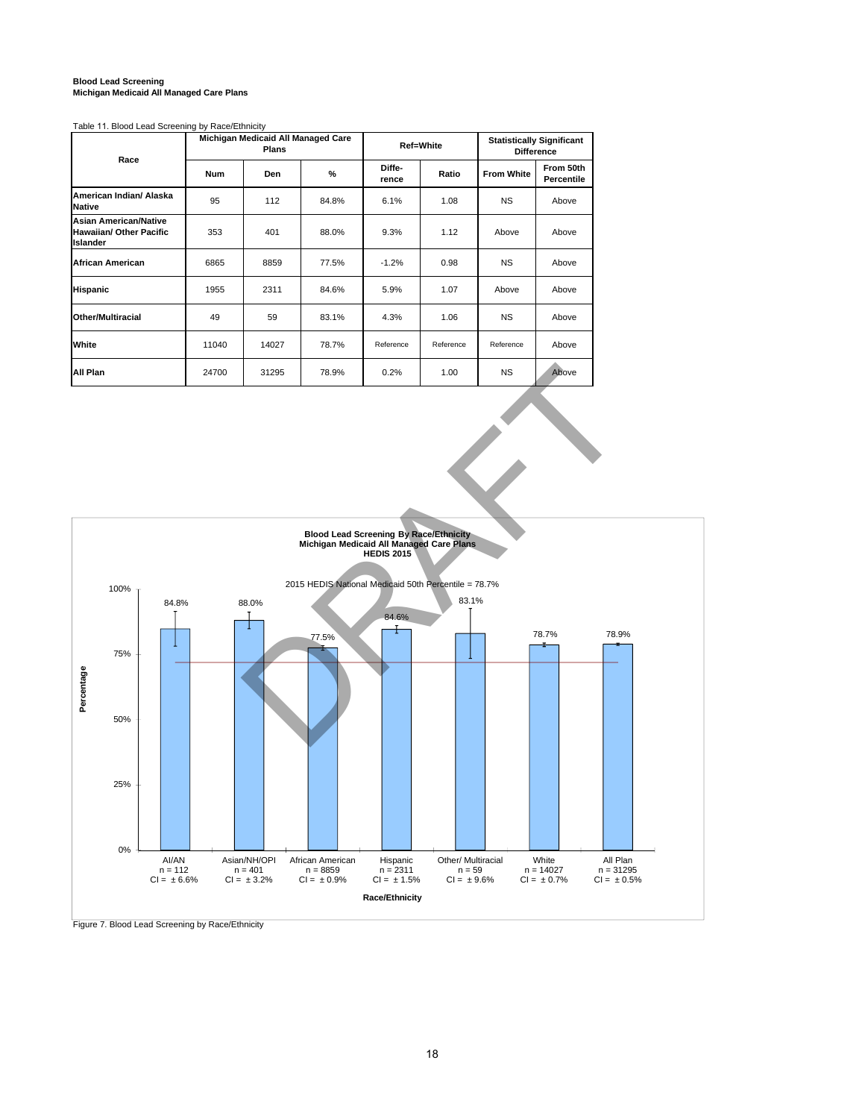# **Blood Lead Screening Michigan Medicaid All Managed Care Plans**

### Table 11. Blood Lead Screening by Race/Ethnicity

| Race                                                                              |            | Michigan Medicaid All Managed Care<br>Plans |       |                 | Ref=White | <b>Statistically Significant</b><br><b>Difference</b> |                         |  |
|-----------------------------------------------------------------------------------|------------|---------------------------------------------|-------|-----------------|-----------|-------------------------------------------------------|-------------------------|--|
|                                                                                   | <b>Num</b> | %<br>Den                                    |       | Diffe-<br>rence | Ratio     | <b>From White</b>                                     | From 50th<br>Percentile |  |
| American Indian/ Alaska<br><b>Native</b>                                          | 95         | 112                                         | 84.8% | 6.1%            | 1.08      | <b>NS</b>                                             | Above                   |  |
| <b>Asian American/Native</b><br><b>Hawaiian/ Other Pacific</b><br><b>Islander</b> | 353        | 401                                         | 88.0% | 9.3%            | 1.12      | Above                                                 | Above                   |  |
| <b>African American</b>                                                           | 6865       | 8859                                        | 77.5% | $-1.2%$         | 0.98      | <b>NS</b>                                             | Above                   |  |
| <b>Hispanic</b>                                                                   | 1955       | 2311                                        | 84.6% | 5.9%            | 1.07      | Above                                                 | Above                   |  |
| Other/Multiracial                                                                 | 49         | 59                                          | 83.1% | 4.3%            | 1.06      | <b>NS</b>                                             | Above                   |  |
| White                                                                             | 11040      | 14027                                       | 78.7% | Reference       | Reference | Reference                                             | Above                   |  |
| All Plan                                                                          | 24700      | 31295                                       | 78.9% | 0.2%            | 1.00      | <b>NS</b>                                             | Above                   |  |



Figure 7. Blood Lead Screening by Race/Ethnicity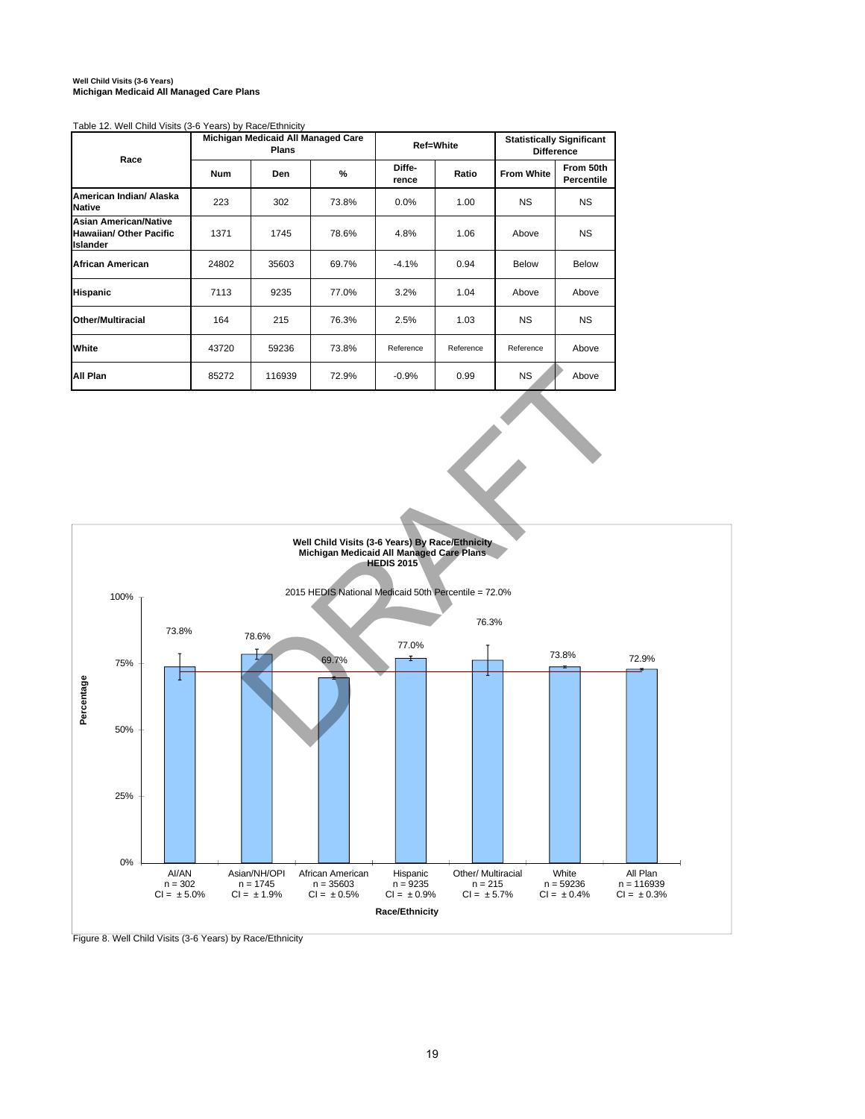# **Well Child Visits (3-6 Years) Michigan Medicaid All Managed Care Plans**

Table 12. Well Child Visits (3-6 Years) by Race/Ethnicity

| Race                                                                              |            | Michigan Medicaid All Managed Care<br><b>Plans</b> |               |                 | <b>Ref=White</b> | <b>Statistically Significant</b><br><b>Difference</b> |                         |  |
|-----------------------------------------------------------------------------------|------------|----------------------------------------------------|---------------|-----------------|------------------|-------------------------------------------------------|-------------------------|--|
|                                                                                   | <b>Num</b> | Den                                                | $\frac{9}{6}$ | Diffe-<br>rence | Ratio            | <b>From White</b>                                     | From 50th<br>Percentile |  |
| American Indian/ Alaska<br>Native                                                 | 223        | 302                                                | 73.8%         | 0.0%            | 1.00             | <b>NS</b>                                             | <b>NS</b>               |  |
| <b>Asian American/Native</b><br><b>Hawaiian/ Other Pacific</b><br><b>Islander</b> | 1371       | 1745                                               | 78.6%         | 4.8%            | 1.06             | Above                                                 | <b>NS</b>               |  |
| <b>African American</b>                                                           | 24802      | 35603                                              | 69.7%         | $-4.1%$         | 0.94             | Below                                                 | <b>Below</b>            |  |
| <b>Hispanic</b>                                                                   | 7113       | 9235                                               | 77.0%         | 3.2%            | 1.04             | Above                                                 | Above                   |  |
| <b>Other/Multiracial</b>                                                          | 164        | 215                                                | 76.3%         | 2.5%            | 1.03             | <b>NS</b>                                             | <b>NS</b>               |  |
| White                                                                             | 43720      | 59236                                              | 73.8%         | Reference       | Reference        | Reference                                             | Above                   |  |
| All Plan                                                                          | 85272      | 116939                                             | 72.9%         | $-0.9%$         | 0.99             | <b>NS</b>                                             | Above                   |  |



Figure 8. Well Child Visits (3-6 Years) by Race/Ethnicity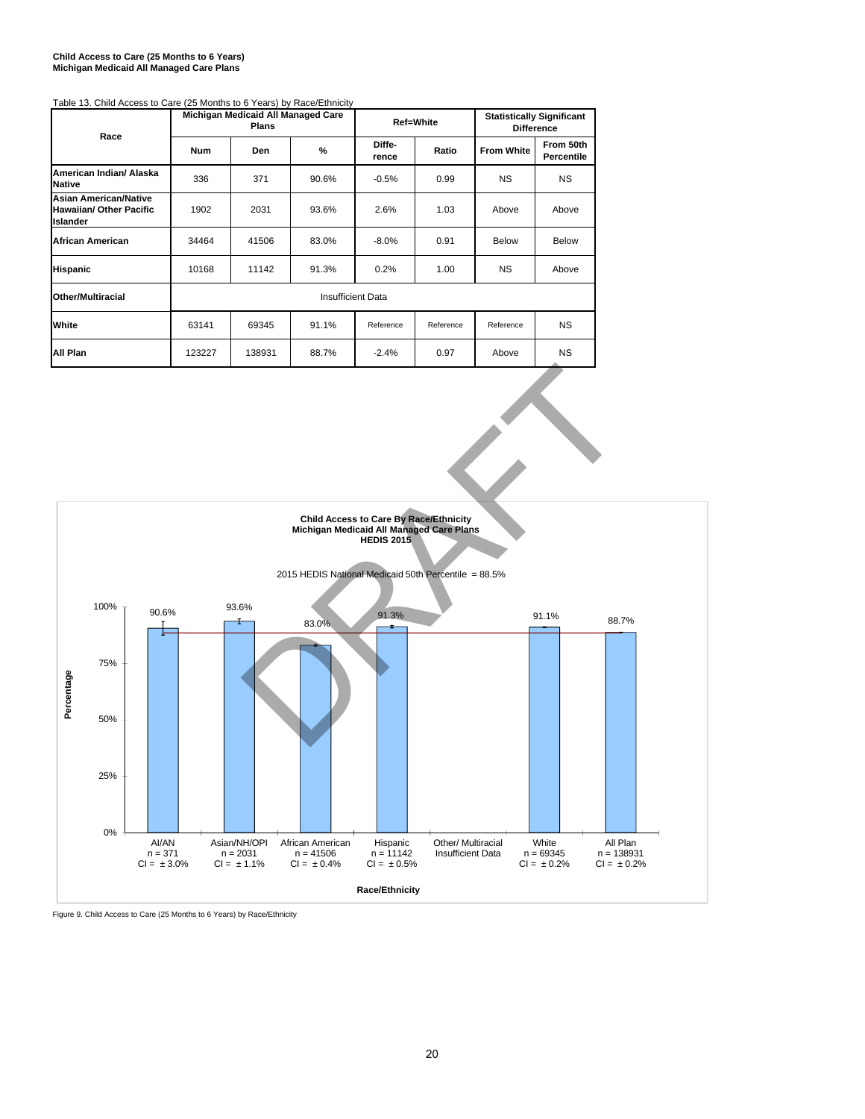### **Child Access to Care (25 Months to 6 Years) Michigan Medicaid All Managed Care Plans**

| Table 13. Child Access to Care (25 Months to 6 Years) by Race/Ethnicity           |            |                                                    |                          |                 |           |                                                       |                         |  |
|-----------------------------------------------------------------------------------|------------|----------------------------------------------------|--------------------------|-----------------|-----------|-------------------------------------------------------|-------------------------|--|
| Race                                                                              |            | Michigan Medicaid All Managed Care<br><b>Plans</b> |                          |                 | Ref=White | <b>Statistically Significant</b><br><b>Difference</b> |                         |  |
|                                                                                   | <b>Num</b> | Den                                                | %                        | Diffe-<br>rence | Ratio     | <b>From White</b>                                     | From 50th<br>Percentile |  |
| American Indian/ Alaska<br><b>Native</b>                                          | 336        | 371                                                | 90.6%                    | $-0.5%$         | 0.99      | <b>NS</b>                                             | <b>NS</b>               |  |
| <b>Asian American/Native</b><br><b>Hawaiian/ Other Pacific</b><br><b>Islander</b> | 1902       | 2031                                               | 93.6%                    | 2.6%            | 1.03      | Above                                                 | Above                   |  |
| <b>African American</b>                                                           | 34464      | 41506                                              | 83.0%                    | $-8.0%$         | 0.91      | Below                                                 | <b>Below</b>            |  |
| Hispanic                                                                          | 10168      | 11142                                              | 91.3%                    | 0.2%            | 1.00      | <b>NS</b>                                             | Above                   |  |
| <b>Other/Multiracial</b>                                                          |            |                                                    | <b>Insufficient Data</b> |                 |           |                                                       |                         |  |
| White                                                                             | 63141      | 91.1%<br>69345<br>Reference<br>Reference           |                          |                 |           | Reference                                             | <b>NS</b>               |  |
| All Plan                                                                          | 123227     | 138931                                             | 88.7%                    | $-2.4%$         | 0.97      | Above                                                 | <b>NS</b>               |  |

### **Child Access to Care By Race/Ethnicity Michigan Medicaid All Managed Care Plans HEDIS 2015** 2015 HEDIS National Medicaid 50th Percentile = 88.5% 100% 90.6% 93.6% 91.3% 91.1% 88.7% 83.0% 75% Percentage **Percentage** 50% 25% 0% AI/AN Asian/NH/OPI African American Hispanic Other/ Multiracial White All Plan Insufficient Data n = 371 CI = ± 3.0% n = 2031 CI = ± 1.1%  $n = 41506$ <br>CI =  $\pm 0.4\%$ n = 11142 CI = ± 0.5% n = 69345 CI = ± 0.2% n = 138931 CI = ± 0.2% **Race/Ethnicity**

Figure 9. Child Access to Care (25 Months to 6 Years) by Race/Ethnicity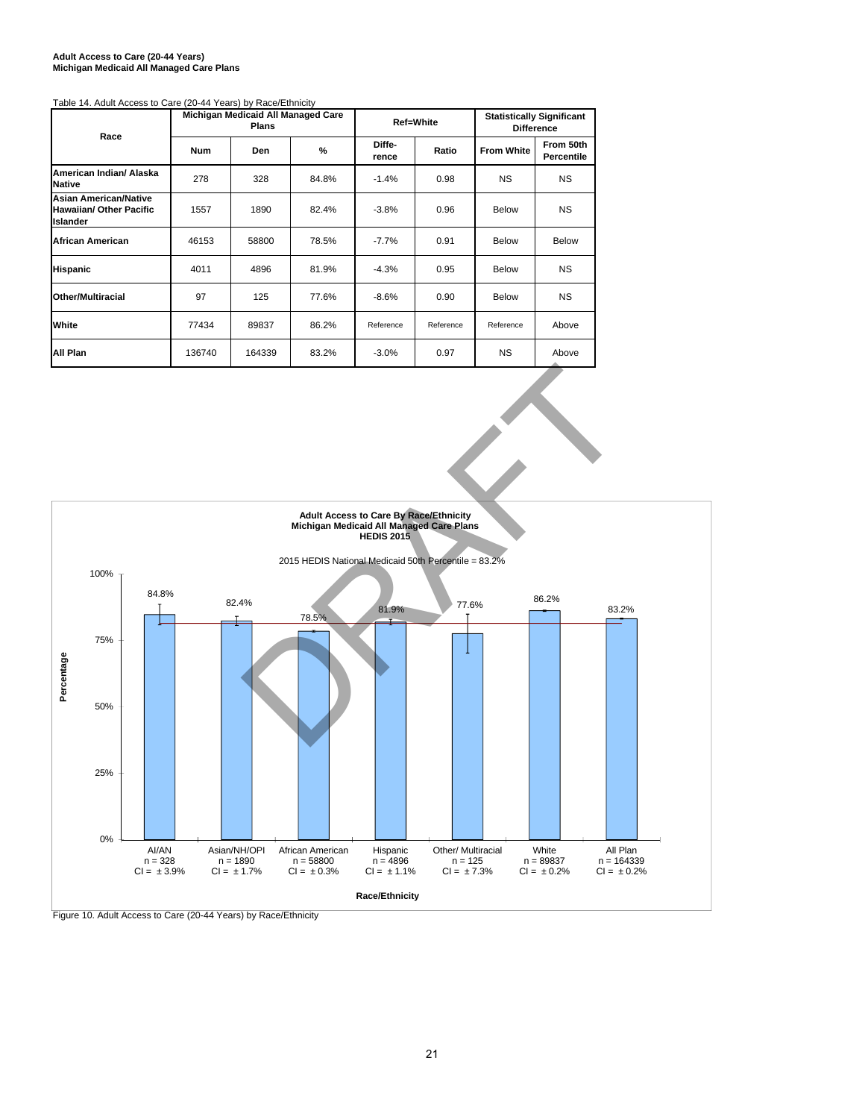### **Adult Access to Care (20-44 Years) Michigan Medicaid All Managed Care Plans**

### Table 14. Adult Access to Care (20-44 Years) by Race/Ethnicity

| Race                                                                              |            | Michigan Medicaid All Managed Care<br><b>Plans</b> |               |                          | Ref=White | <b>Statistically Significant</b><br><b>Difference</b> |                                |  |
|-----------------------------------------------------------------------------------|------------|----------------------------------------------------|---------------|--------------------------|-----------|-------------------------------------------------------|--------------------------------|--|
|                                                                                   | <b>Num</b> | <b>Den</b>                                         | $\frac{9}{6}$ | Diffe-<br>Ratio<br>rence |           | <b>From White</b>                                     | From 50th<br><b>Percentile</b> |  |
| American Indian/ Alaska<br>Native                                                 | 278        | 328                                                | 84.8%         | $-1.4%$                  | 0.98      | <b>NS</b>                                             | <b>NS</b>                      |  |
| <b>Asian American/Native</b><br><b>Hawaiian/ Other Pacific</b><br><b>Islander</b> | 1557       | 1890                                               | 82.4%         | $-3.8%$                  | 0.96      | <b>Below</b>                                          | <b>NS</b>                      |  |
| African American                                                                  | 46153      | 58800                                              | 78.5%         | $-7.7%$                  | 0.91      | <b>Below</b>                                          | <b>Below</b>                   |  |
| <b>Hispanic</b>                                                                   | 4011       | 4896                                               | 81.9%         | $-4.3%$                  | 0.95      | <b>Below</b>                                          | <b>NS</b>                      |  |
| Other/Multiracial                                                                 | 97         | 125                                                | 77.6%         | $-8.6%$                  | 0.90      | <b>Below</b>                                          | <b>NS</b>                      |  |
| White                                                                             | 77434      | 89837                                              | 86.2%         | Reference                | Reference | Reference                                             | Above                          |  |
| All Plan                                                                          | 136740     | 164339                                             | 83.2%         | $-3.0%$                  | 0.97      | <b>NS</b>                                             | Above                          |  |



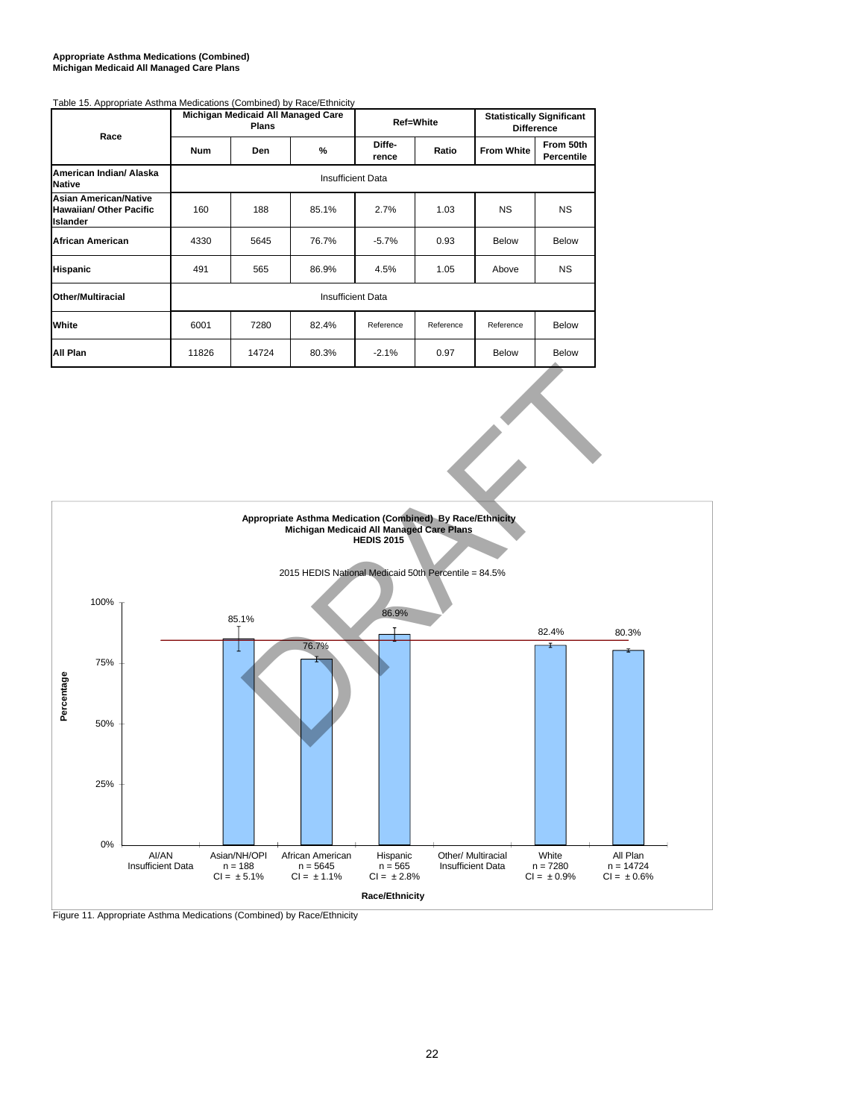#### **Appropriate Asthma Medications (Combined) Michigan Medicaid All Managed Care Plans**

| rable 15. Appropriate Astrillia Medications (Combined) by Race/Ethnicity<br>Race  |            | Michigan Medicaid All Managed Care<br><b>Plans</b> |                          |                 | <b>Ref=White</b>  | <b>Statistically Significant</b><br><b>Difference</b> |                                |  |  |  |
|-----------------------------------------------------------------------------------|------------|----------------------------------------------------|--------------------------|-----------------|-------------------|-------------------------------------------------------|--------------------------------|--|--|--|
|                                                                                   | <b>Num</b> | <b>Den</b>                                         | %                        | Diffe-<br>rence | Ratio             | <b>From White</b>                                     | From 50th<br><b>Percentile</b> |  |  |  |
| American Indian/ Alaska<br><b>Native</b>                                          |            | <b>Insufficient Data</b>                           |                          |                 |                   |                                                       |                                |  |  |  |
| <b>Asian American/Native</b><br><b>Hawaiian/ Other Pacific</b><br><b>Islander</b> | 160        | 188                                                | 85.1%                    | 2.7%            | <b>NS</b><br>1.03 |                                                       | <b>NS</b>                      |  |  |  |
| African American                                                                  | 4330       | 5645                                               | 76.7%                    | $-5.7%$         | 0.93              | <b>Below</b>                                          | <b>Below</b>                   |  |  |  |
| <b>Hispanic</b>                                                                   | 491        | 565                                                | 86.9%                    | 4.5%            | 1.05              | Above                                                 | <b>NS</b>                      |  |  |  |
| Other/Multiracial                                                                 |            |                                                    | <b>Insufficient Data</b> |                 |                   |                                                       |                                |  |  |  |
| White                                                                             | 6001       | 7280                                               | 82.4%                    | Reference       | Reference         | Reference                                             | <b>Below</b>                   |  |  |  |
| All Plan                                                                          | 11826      | 14724                                              | 80.3%                    | $-2.1%$         | 0.97              | <b>Below</b>                                          | Below                          |  |  |  |

## Table 15. Appropriate Asthma Medications (Combined) by Race/Ethnicity



Figure 11. Appropriate Asthma Medications (Combined) by Race/Ethnicity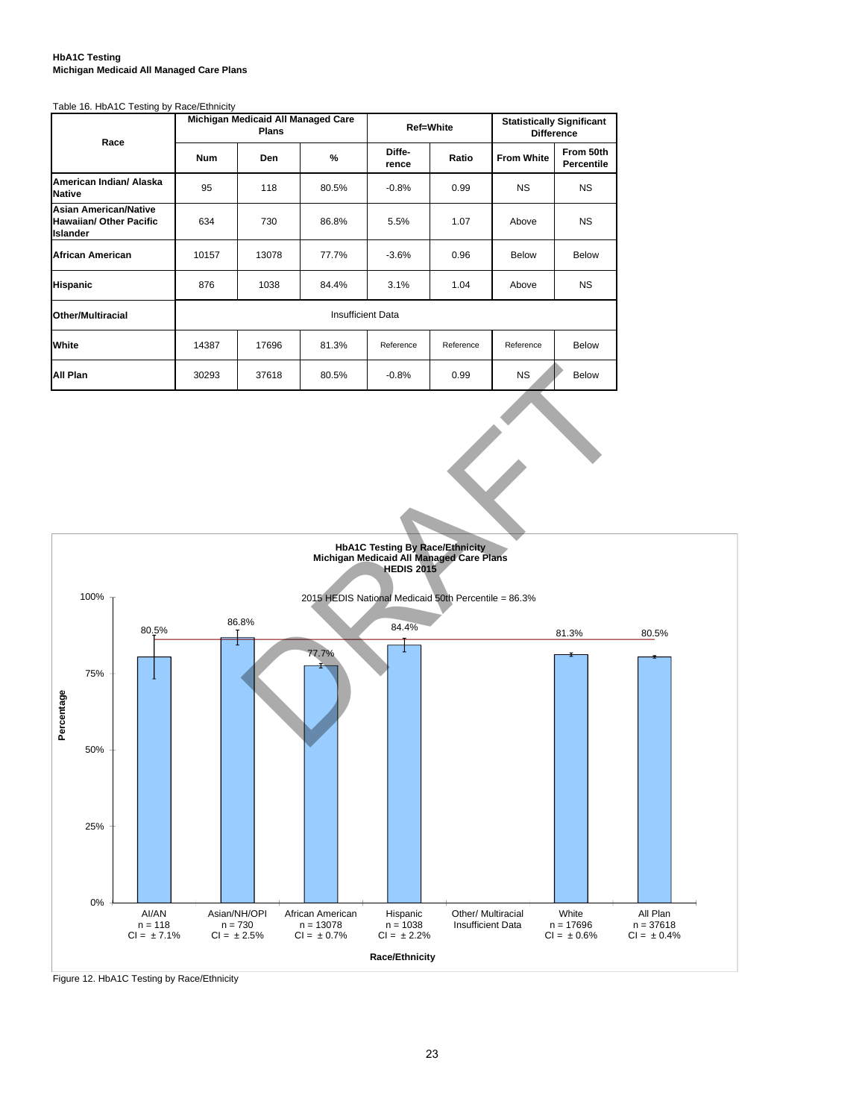### **HbA1C Testing Michigan Medicaid All Managed Care Plans**

#### Table 16. HbA1C Testing by Race/Ethnicity

| Race                                                                              |            | Michigan Medicaid All Managed Care<br><b>Plans</b> |                          |                 | <b>Ref=White</b> | <b>Statistically Significant</b><br><b>Difference</b> |                         |  |
|-----------------------------------------------------------------------------------|------------|----------------------------------------------------|--------------------------|-----------------|------------------|-------------------------------------------------------|-------------------------|--|
|                                                                                   | <b>Num</b> | Den                                                | %                        | Diffe-<br>rence | Ratio            | <b>From White</b>                                     | From 50th<br>Percentile |  |
| American Indian/ Alaska<br><b>Native</b>                                          | 95         | 118                                                | 80.5%                    | $-0.8%$         | 0.99             | <b>NS</b>                                             | <b>NS</b>               |  |
| <b>Asian American/Native</b><br><b>Hawaiian/ Other Pacific</b><br><b>Islander</b> | 634        | 730                                                | 86.8%                    | 5.5%            | 1.07             | Above                                                 | <b>NS</b>               |  |
| <b>African American</b>                                                           | 10157      | 13078                                              | 77.7%                    | $-3.6%$         | 0.96             | <b>Below</b>                                          | <b>Below</b>            |  |
| <b>Hispanic</b>                                                                   | 876        | 1038                                               | 84.4%                    | 3.1%            | 1.04             | Above                                                 | <b>NS</b>               |  |
| <b>Other/Multiracial</b>                                                          |            |                                                    | <b>Insufficient Data</b> |                 |                  |                                                       |                         |  |
| White                                                                             | 14387      | 17696                                              | 81.3%                    | Reference       | Reference        | Reference                                             | <b>Below</b>            |  |
| All Plan                                                                          | 30293      | 37618                                              | 80.5%                    | $-0.8%$         | 0.99             | <b>NS</b>                                             | <b>Below</b>            |  |



Figure 12. HbA1C Testing by Race/Ethnicity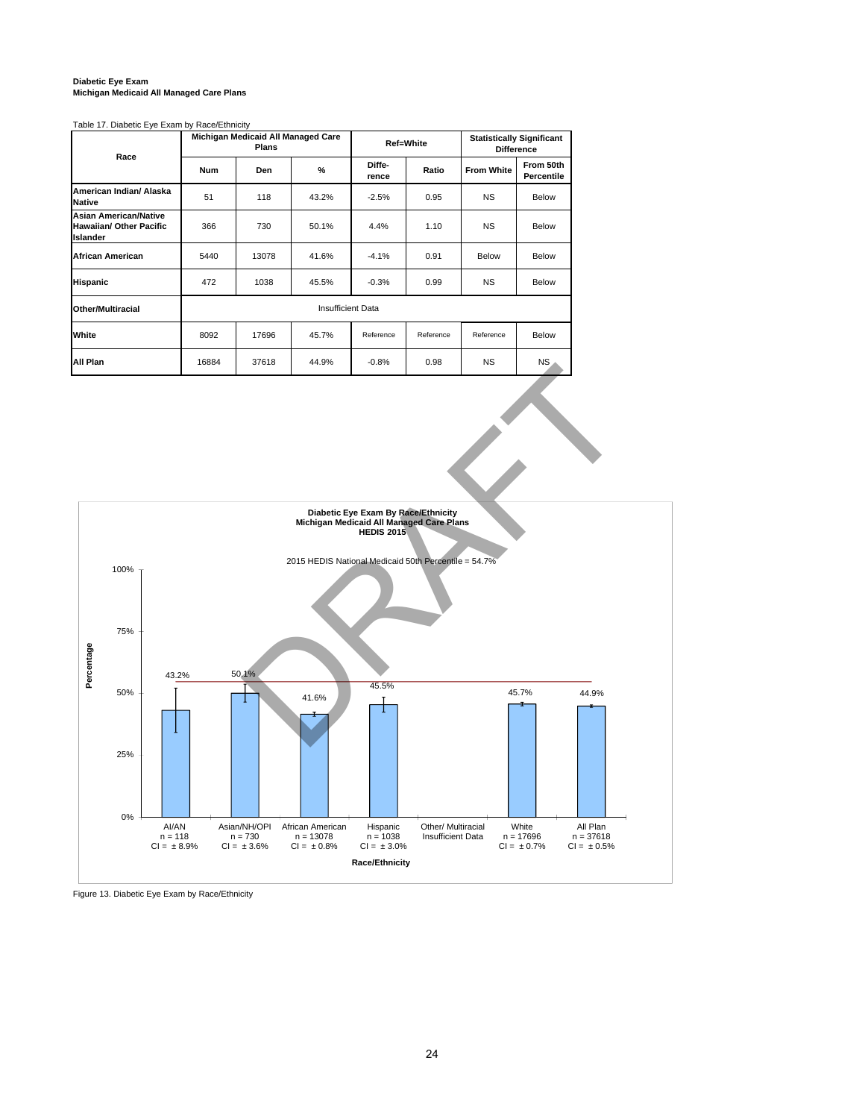## **Diabetic Eye Exam Michigan Medicaid All Managed Care Plans**

### Table 17. Diabetic Eye Exam by Race/Ethnicity

| Race                                                                              |            | Michigan Medicaid All Managed Care<br><b>Plans</b> |                          |                 | <b>Ref=White</b> | <b>Statistically Significant</b><br><b>Difference</b> |                         |  |
|-----------------------------------------------------------------------------------|------------|----------------------------------------------------|--------------------------|-----------------|------------------|-------------------------------------------------------|-------------------------|--|
|                                                                                   | <b>Num</b> | Den                                                | %                        | Diffe-<br>rence | Ratio            | <b>From White</b>                                     | From 50th<br>Percentile |  |
| American Indian/ Alaska<br><b>Native</b>                                          | 51         | 118                                                | 43.2%                    | $-2.5%$         | 0.95             | <b>NS</b>                                             | Below                   |  |
| <b>Asian American/Native</b><br><b>Hawaiian/ Other Pacific</b><br><b>Islander</b> | 366        | 730                                                | 50.1%                    | 4.4%            | 1.10             | <b>NS</b>                                             | Below                   |  |
| African American                                                                  | 5440       | 13078                                              | 41.6%                    | $-4.1%$         | 0.91             | Below                                                 | Below                   |  |
| <b>Hispanic</b>                                                                   | 472        | 1038                                               | 45.5%                    | $-0.3%$         | 0.99             | <b>NS</b>                                             | Below                   |  |
| Other/Multiracial                                                                 |            |                                                    | <b>Insufficient Data</b> |                 |                  |                                                       |                         |  |
| White                                                                             | 8092       | 17696                                              | 45.7%                    | Reference       | Reference        | Reference                                             | Below                   |  |
| All Plan                                                                          | 16884      | 37618                                              | 44.9%                    | $-0.8%$         | 0.98             | <b>NS</b>                                             | <b>NS</b>               |  |



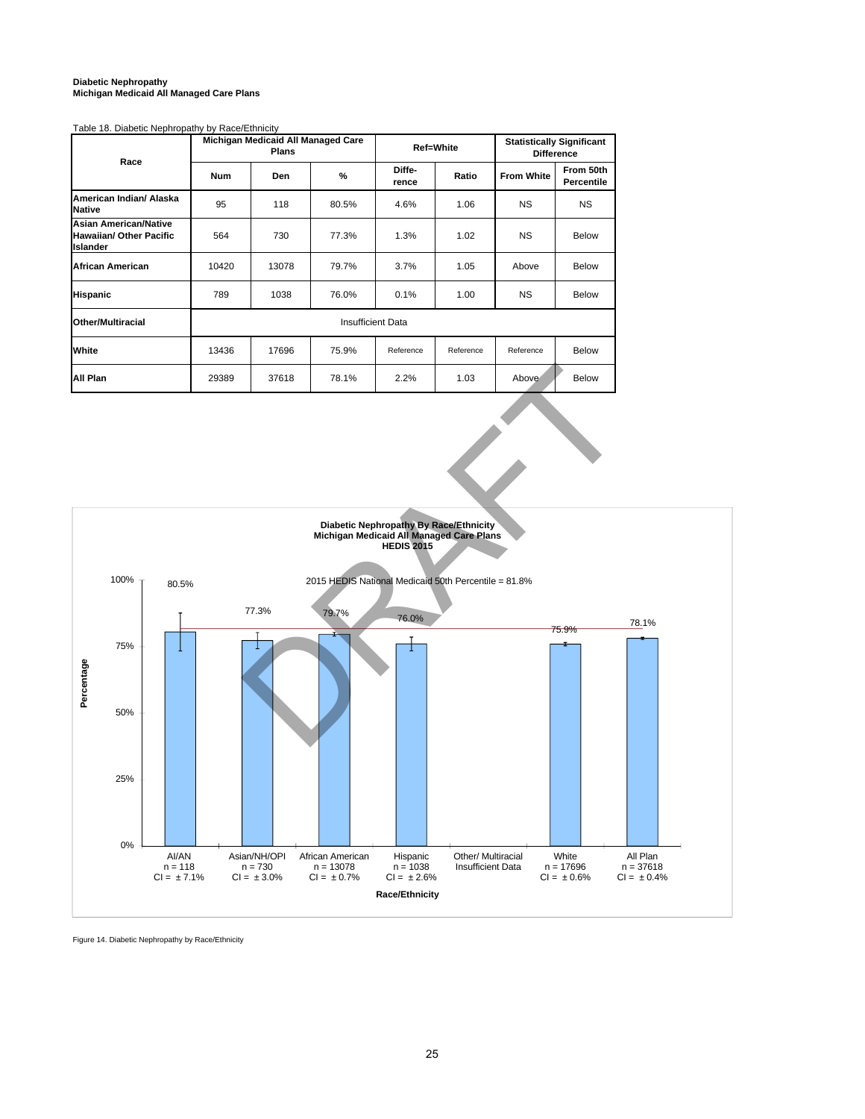### **Diabetic Nephropathy Michigan Medicaid All Managed Care Plans**

### Table 18. Diabetic Nephropathy by Race/Ethnicity

| Race                                                                              |            | Michigan Medicaid All Managed Care<br><b>Plans</b> |                          |                 | <b>Ref=White</b> | <b>Statistically Significant</b><br><b>Difference</b> |                         |  |
|-----------------------------------------------------------------------------------|------------|----------------------------------------------------|--------------------------|-----------------|------------------|-------------------------------------------------------|-------------------------|--|
|                                                                                   | <b>Num</b> | <b>Den</b>                                         | $\frac{0}{2}$            | Diffe-<br>rence | Ratio            | <b>From White</b>                                     | From 50th<br>Percentile |  |
| American Indian/ Alaska<br>Native                                                 | 95         | 118                                                | 80.5%                    | 4.6%            | 1.06             | <b>NS</b>                                             | <b>NS</b>               |  |
| <b>Asian American/Native</b><br><b>Hawaiian/ Other Pacific</b><br><b>Islander</b> | 564        | 730                                                | 77.3%                    | 1.3%            | 1.02             | <b>NS</b>                                             | <b>Below</b>            |  |
| African American                                                                  | 10420      | 13078                                              | 79.7%                    | 3.7%            | 1.05             | Above                                                 | <b>Below</b>            |  |
| <b>Hispanic</b>                                                                   | 789        | 1038                                               | 76.0%                    | 0.1%            | 1.00             | <b>NS</b>                                             | <b>Below</b>            |  |
| <b>Other/Multiracial</b>                                                          |            |                                                    | <b>Insufficient Data</b> |                 |                  |                                                       |                         |  |
| White                                                                             | 13436      | 17696                                              | 75.9%                    | Reference       | Reference        | Reference                                             | <b>Below</b>            |  |
| All Plan                                                                          | 29389      | 37618                                              | 78.1%                    | 2.2%            | 1.03             | Above                                                 | <b>Below</b>            |  |



Figure 14. Diabetic Nephropathy by Race/Ethnicity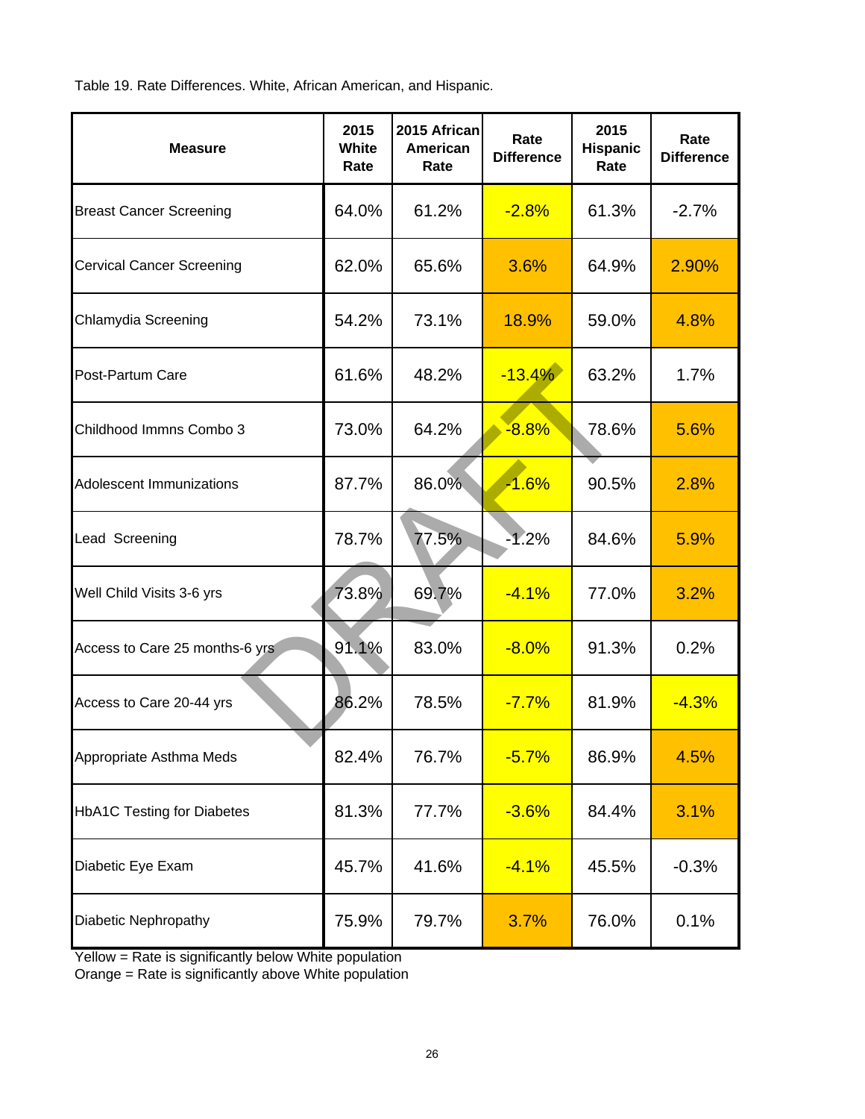Table 19. Rate Differences. White, African American, and Hispanic.

| <b>Measure</b>                    | 2015<br>White<br>Rate | 2015 African<br>American<br>Rate | Rate<br><b>Difference</b> | 2015<br>Hispanic<br>Rate | Rate<br><b>Difference</b> |
|-----------------------------------|-----------------------|----------------------------------|---------------------------|--------------------------|---------------------------|
| <b>Breast Cancer Screening</b>    | 64.0%                 | 61.2%                            | $-2.8%$                   | 61.3%                    | $-2.7%$                   |
| <b>Cervical Cancer Screening</b>  | 62.0%                 | 65.6%                            | 3.6%                      | 64.9%                    | 2.90%                     |
| Chlamydia Screening               | 54.2%                 | 73.1%                            | 18.9%                     | 59.0%                    | 4.8%                      |
| Post-Partum Care                  | 61.6%                 | 48.2%                            | $-13.4%$                  | 63.2%                    | 1.7%                      |
| Childhood Immns Combo 3           | 73.0%                 | 64.2%                            | $-8.8%$                   | 78.6%                    | 5.6%                      |
| Adolescent Immunizations          | 87.7%                 | 86.0%                            | $-1.6%$                   | 90.5%                    | 2.8%                      |
| Lead Screening                    | 78.7%                 | 77.5%                            | $-1.2%$                   | 84.6%                    | 5.9%                      |
| Well Child Visits 3-6 yrs         | 73.8%                 | 69.7%                            | $-4.1%$                   | 77.0%                    | 3.2%                      |
| Access to Care 25 months-6 yrs    | 91.1%                 | 83.0%                            | $-8.0%$                   | 91.3%                    | 0.2%                      |
| Access to Care 20-44 yrs          | 86.2%                 | 78.5%                            | $-7.7%$                   | 81.9%                    | $-4.3%$                   |
| Appropriate Asthma Meds           | 82.4%                 | 76.7%                            | $-5.7%$                   | 86.9%                    | 4.5%                      |
| <b>HbA1C Testing for Diabetes</b> | 81.3%                 | 77.7%                            | $-3.6%$                   | 84.4%                    | 3.1%                      |
| Diabetic Eye Exam                 | 45.7%                 | 41.6%                            | $-4.1%$                   | 45.5%                    | $-0.3%$                   |
| Diabetic Nephropathy              | 75.9%                 | 79.7%                            | 3.7%                      | 76.0%                    | 0.1%                      |

Yellow = Rate is significantly below White population

Orange = Rate is significantly above White population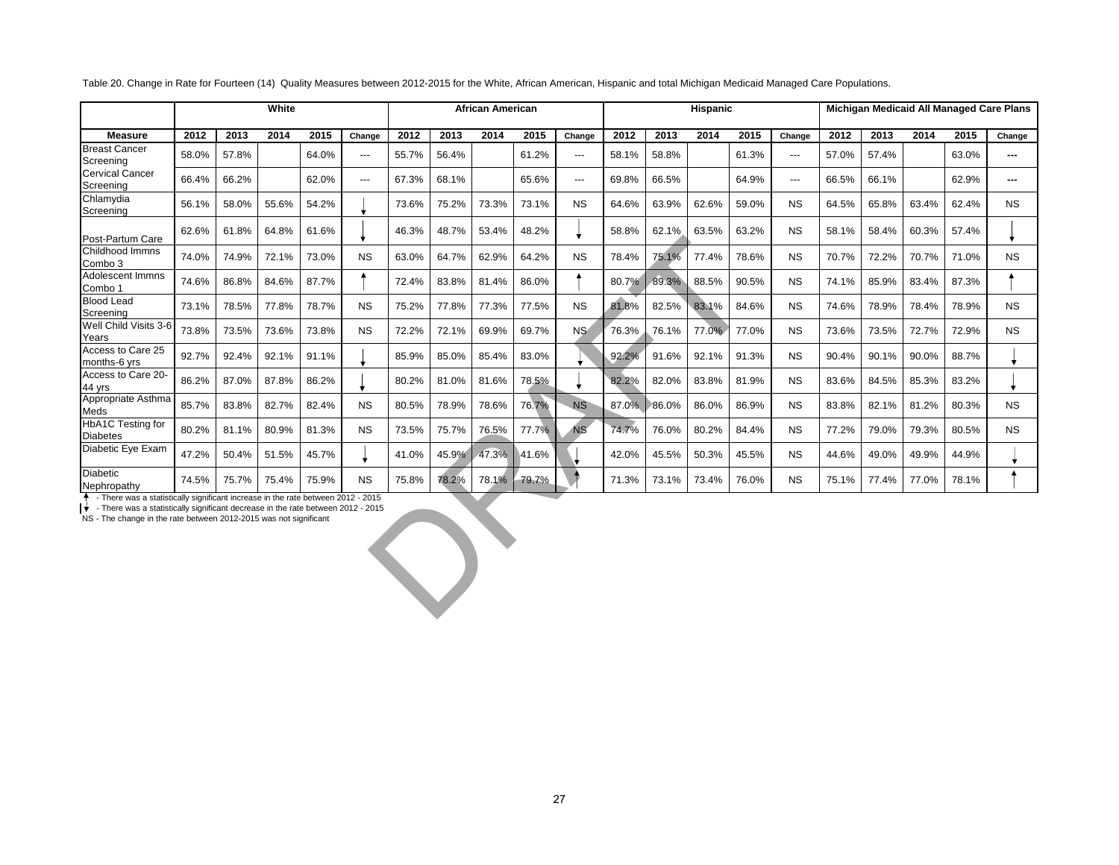|                                      |       |       | White |       |           |       |       | <b>African American</b> |       |           |       |       | <b>Hispanic</b> |       |           |       |       |       |       | Michigan Medicaid All Managed Care Plans |
|--------------------------------------|-------|-------|-------|-------|-----------|-------|-------|-------------------------|-------|-----------|-------|-------|-----------------|-------|-----------|-------|-------|-------|-------|------------------------------------------|
| <b>Measure</b>                       | 2012  | 2013  | 2014  | 2015  | Change    | 2012  | 2013  | 2014                    | 2015  | Change    | 2012  | 2013  | 2014            | 2015  | Change    | 2012  | 2013  | 2014  | 2015  | Change                                   |
| <b>Breast Cancer</b><br>Screening    | 58.0% | 57.8% |       | 64.0% | $---$     | 55.7% | 56.4% |                         | 61.2% | ---       | 58.1% | 58.8% |                 | 61.3% | $---$     | 57.0% | 57.4% |       | 63.0% | $--$                                     |
| <b>Cervical Cancer</b><br>Screening  | 66.4% | 66.2% |       | 62.0% | $---$     | 67.3% | 68.1% |                         | 65.6% | ---       | 69.8% | 66.5% |                 | 64.9% | ---       | 66.5% | 66.1% |       | 62.9% |                                          |
| Chlamydia<br>Screening               | 56.1% | 58.0% | 55.6% | 54.2% |           | 73.6% | 75.2% | 73.3%                   | 73.1% | <b>NS</b> | 64.6% | 63.9% | 62.6%           | 59.0% | <b>NS</b> | 64.5% | 65.8% | 63.4% | 62.4% | <b>NS</b>                                |
| Post-Partum Care                     | 62.6% | 61.8% | 64.8% | 61.6% |           | 46.3% | 48.7% | 53.4%                   | 48.2% |           | 58.8% | 62.1% | 63.5%           | 63.2% | <b>NS</b> | 58.1% | 58.4% | 60.3% | 57.4% |                                          |
| Childhood Immns<br>Combo 3           | 74.0% | 74.9% | 72.1% | 73.0% | <b>NS</b> | 63.0% | 64.7% | 62.9%                   | 64.2% | <b>NS</b> | 78.4% | 75.1% | 77.4%           | 78.6% | <b>NS</b> | 70.7% | 72.2% | 70.7% | 71.0% | <b>NS</b>                                |
| Adolescent Immns<br>Combo 1          | 74.6% | 86.8% | 84.6% | 87.7% |           | 72.4% | 83.8% | 81.4%                   | 86.0% |           | 80.7% | 89.3% | 88.5%           | 90.5% | <b>NS</b> | 74.1% | 85.9% | 83.4% | 87.3% |                                          |
| <b>Blood Lead</b><br>Screening       | 73.1% | 78.5% | 77.8% | 78.7% | <b>NS</b> | 75.2% | 77.8% | 77.3%                   | 77.5% | <b>NS</b> | 81.8% | 82.5% | 83.1%           | 84.6% | <b>NS</b> | 74.6% | 78.9% | 78.4% | 78.9% | <b>NS</b>                                |
| Well Child Visits 3-6<br>Years       | 73.8% | 73.5% | 73.6% | 73.8% | <b>NS</b> | 72.2% | 72.1% | 69.9%                   | 69.7% | <b>NS</b> | 76.3% | 76.1% | 77.0%           | 77.0% | <b>NS</b> | 73.6% | 73.5% | 72.7% | 72.9% | <b>NS</b>                                |
| Access to Care 25<br>months-6 yrs    | 92.7% | 92.4% | 92.1% | 91.1% |           | 85.9% | 85.0% | 85.4%                   | 83.0% |           | 92.2% | 91.6% | 92.1%           | 91.3% | <b>NS</b> | 90.4% | 90.1% | 90.0% | 88.7% |                                          |
| Access to Care 20-<br>44 yrs         | 86.2% | 87.0% | 87.8% | 86.2% |           | 80.2% | 81.0% | 81.6%                   | 78.5% |           | 82.2% | 82.0% | 83.8%           | 81.9% | <b>NS</b> | 83.6% | 84.5% | 85.3% | 83.2% |                                          |
| Appropriate Asthma<br>Meds           | 85.7% | 83.8% | 82.7% | 82.4% | <b>NS</b> | 80.5% | 78.9% | 78.6%                   | 76.7% | <b>NS</b> | 87.0% | 86.0% | 86.0%           | 86.9% | <b>NS</b> | 83.8% | 82.1% | 81.2% | 80.3% | <b>NS</b>                                |
| HbA1C Testing for<br><b>Diabetes</b> | 80.2% | 81.1% | 80.9% | 81.3% | <b>NS</b> | 73.5% | 75.7% | 76.5%                   | 77.7% | <b>NS</b> | 74.7% | 76.0% | 80.2%           | 84.4% | <b>NS</b> | 77.2% | 79.0% | 79.3% | 80.5% | <b>NS</b>                                |
| Diabetic Eye Exam                    | 47.2% | 50.4% | 51.5% | 45.7% |           | 41.0% | 45.9% | 47.3%                   | 41.6% |           | 42.0% | 45.5% | 50.3%           | 45.5% | <b>NS</b> | 44.6% | 49.0% | 49.9% | 44.9% |                                          |
| <b>Diabetic</b><br>Nephropathy       | 74.5% | 75.7% | 75.4% | 75.9% | <b>NS</b> | 75.8% | 78.2% | 78.1%                   | 79.7% |           | 71.3% | 73.1% | 73.4%           | 76.0% | <b>NS</b> | 75.1% | 77.4% | 77.0% | 78.1% |                                          |

Table 20. Change in Rate for Fourteen (14) Quality Measures between 2012-2015 for the White, African American, Hispanic and total Michigan Medicaid Managed Care Populations.

↑ - There was a statistically significant increase in the rate between 2012 - 2015<br>♦ - There was a statistically significant decrease in the rate between 2012 - 2015<br>NS - The change in the rate between 2012-2015 was not s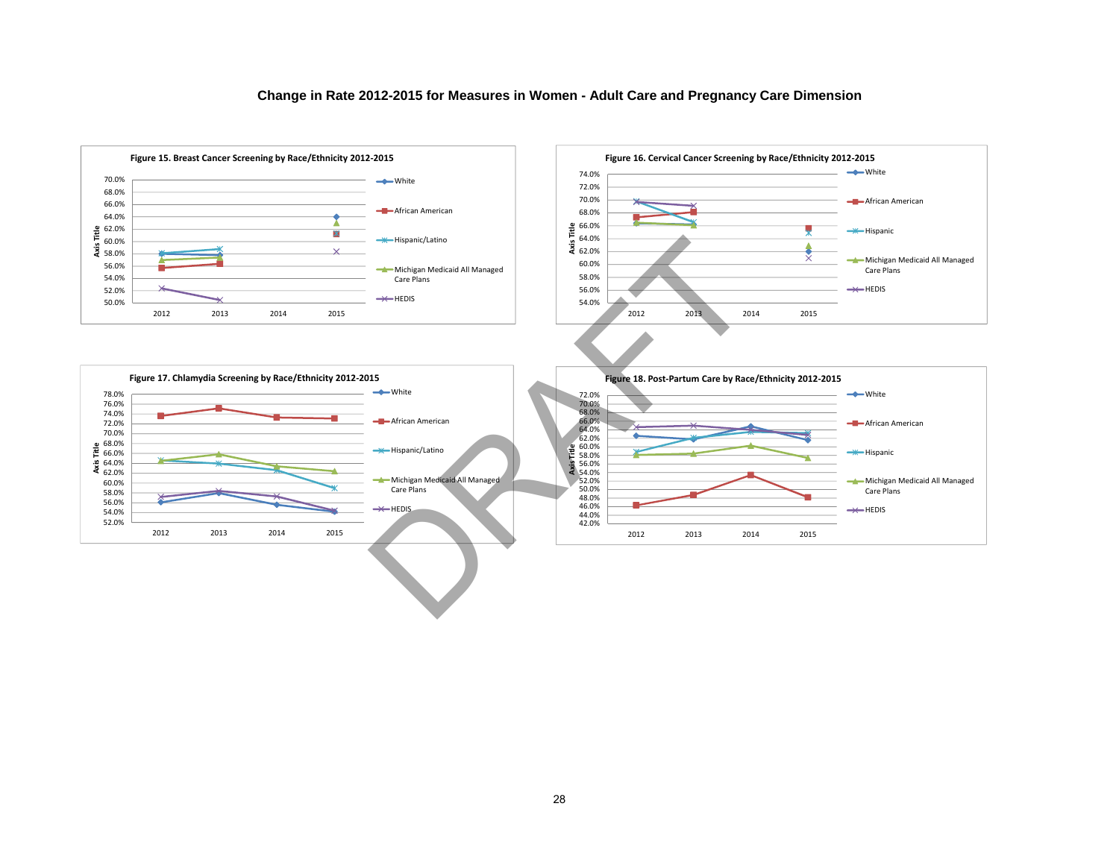## **Change in Rate 2012-2015 for Measures in Women - Adult Care and Pregnancy Care Dimension**







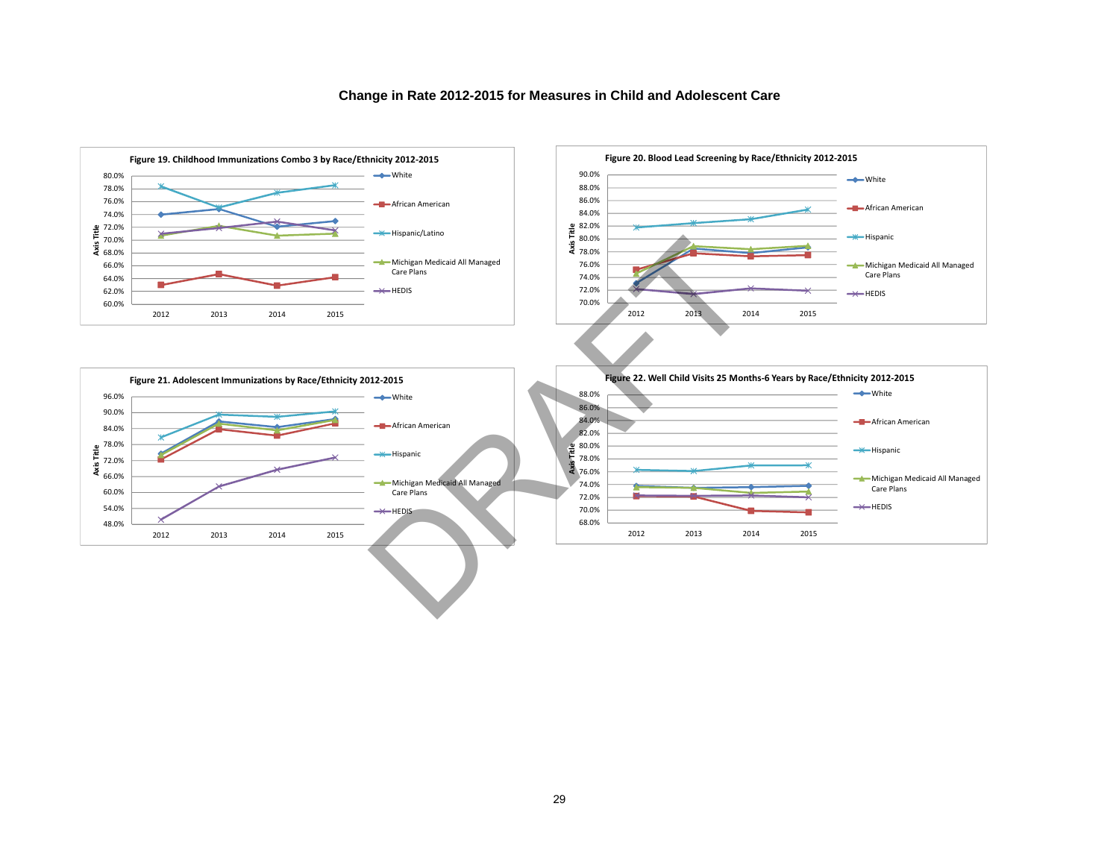

## **Change in Rate 2012-2015 for Measures in Child and Adolescent Care**





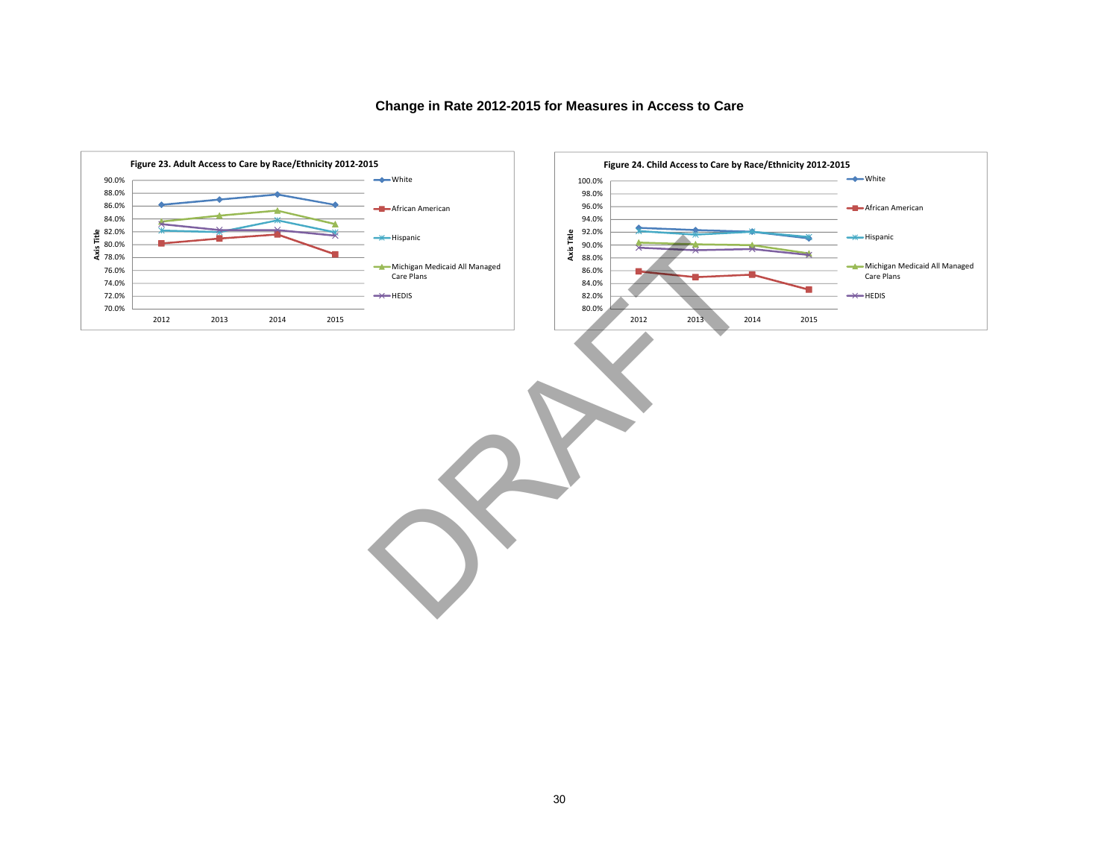

## **Change in Rate 2012-2015 for Measures in Access to Care**

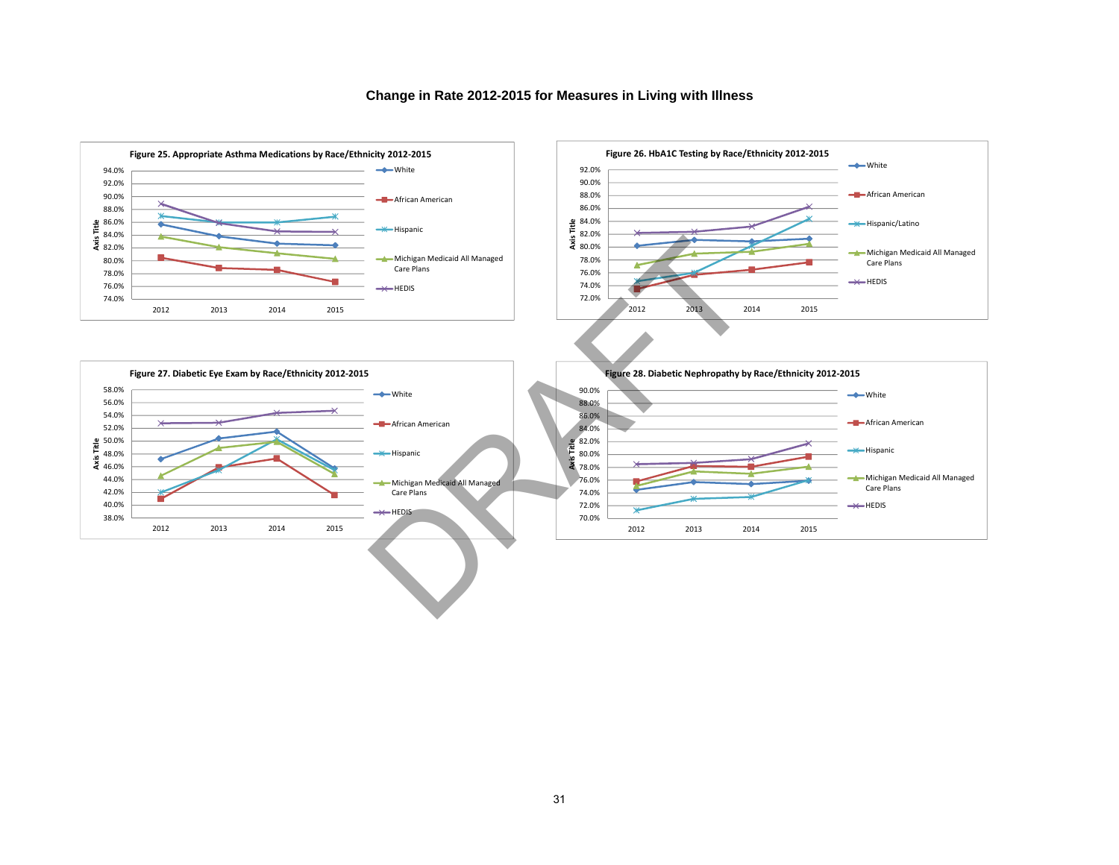

## **Change in Rate 2012-2015 for Measures in Living with Illness**





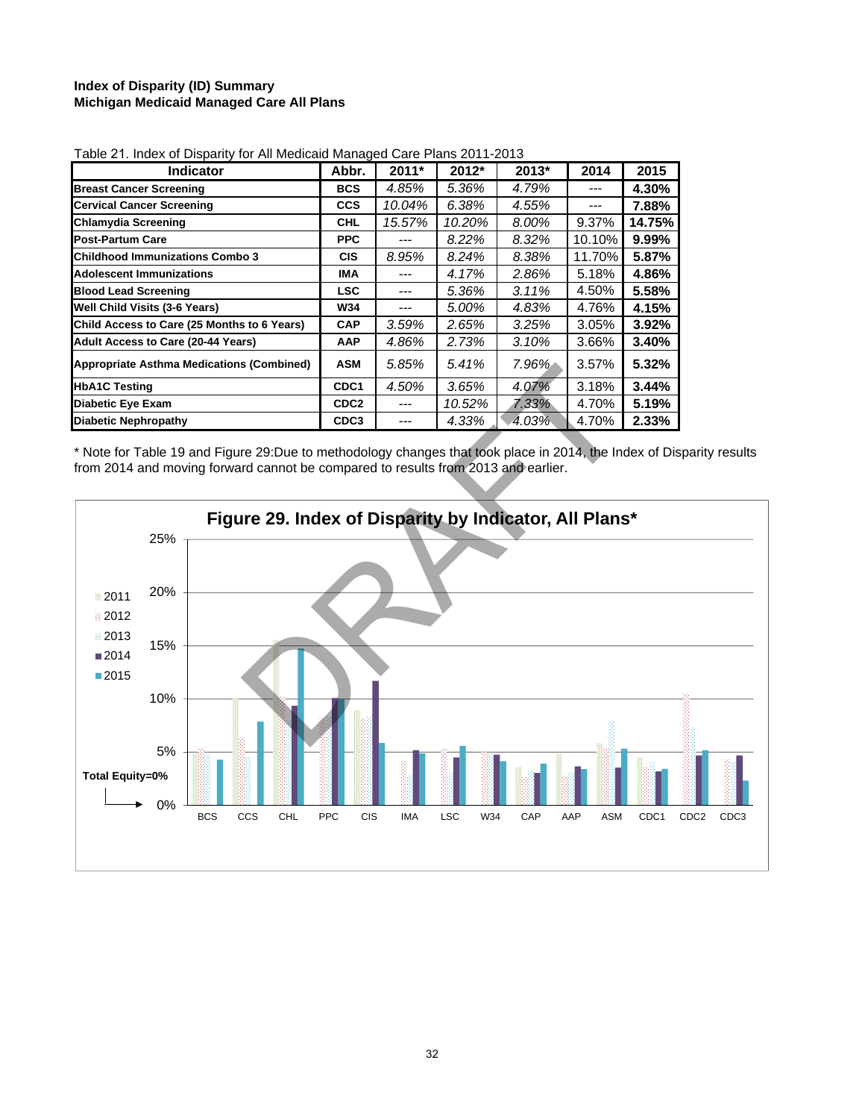## **Index of Disparity (ID) Summary Michigan Medicaid Managed Care All Plans**

| <b>Indicator</b>                                 | Abbr.            | $2011*$ | 2012*  | $2013*$ | 2014   | 2015     |
|--------------------------------------------------|------------------|---------|--------|---------|--------|----------|
| <b>Breast Cancer Screening</b>                   | <b>BCS</b>       | 4.85%   | 5.36%  | 4.79%   |        | 4.30%    |
| <b>Cervical Cancer Screening</b>                 | <b>CCS</b>       | 10.04%  | 6.38%  | 4.55%   | ---    | 7.88%    |
| <b>Chlamydia Screening</b>                       | <b>CHL</b>       | 15.57%  | 10.20% | 8.00%   | 9.37%  | 14.75%   |
| <b>Post-Partum Care</b>                          | <b>PPC</b>       |         | 8.22%  | 8.32%   | 10.10% | $9.99\%$ |
| <b>Childhood Immunizations Combo 3</b>           | <b>CIS</b>       | 8.95%   | 8.24%  | 8.38%   | 11.70% | 5.87%    |
| <b>Adolescent Immunizations</b>                  | IMA              |         | 4.17%  | 2.86%   | 5.18%  | 4.86%    |
| <b>Blood Lead Screening</b>                      | <b>LSC</b>       | ---     | 5.36%  | 3.11%   | 4.50%  | 5.58%    |
| Well Child Visits (3-6 Years)                    | <b>W34</b>       |         | 5.00%  | 4.83%   | 4.76%  | 4.15%    |
| Child Access to Care (25 Months to 6 Years)      | <b>CAP</b>       | 3.59%   | 2.65%  | 3.25%   | 3.05%  | 3.92%    |
| Adult Access to Care (20-44 Years)               | AAP              | 4.86%   | 2.73%  | 3.10%   | 3.66%  | 3.40%    |
| <b>Appropriate Asthma Medications (Combined)</b> | <b>ASM</b>       | 5.85%   | 5.41%  | 7.96%   | 3.57%  | 5.32%    |
| <b>HbA1C Testing</b>                             | CDC <sub>1</sub> | 4.50%   | 3.65%  | 4.07%   | 3.18%  | 3.44%    |
| <b>Diabetic Eye Exam</b>                         | CDC <sub>2</sub> |         | 10.52% | 7.33%   | 4.70%  | 5.19%    |
| <b>Diabetic Nephropathy</b>                      | CDC <sub>3</sub> |         | 4.33%  | 4.03%   | 4.70%  | 2.33%    |

| Table 21. Index of Disparity for All Medicaid Managed Care Plans 2011-2013 |  |
|----------------------------------------------------------------------------|--|
|                                                                            |  |

\* Note for Table 19 and Figure 29:Due to methodology changes that took place in 2014, the Index of Disparity results from 2014 and moving forward cannot be compared to results from 2013 and earlier.

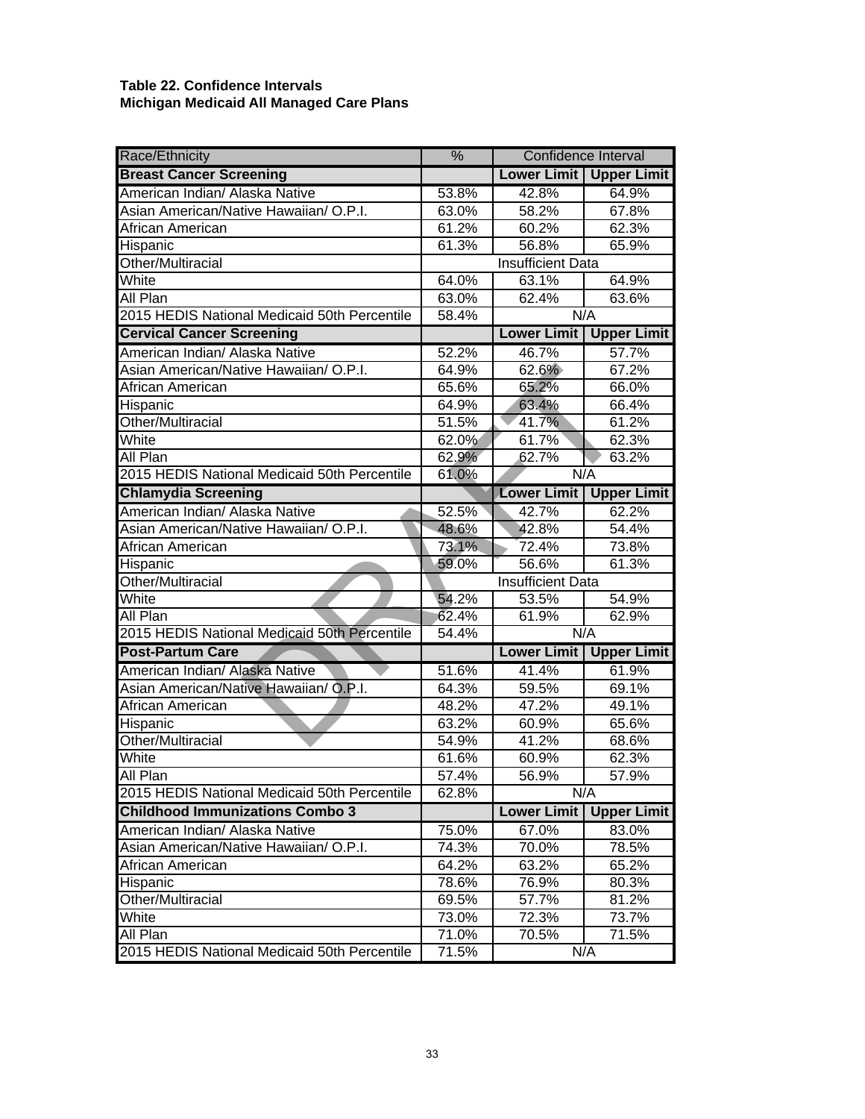## **Table 22. Confidence Intervals Michigan Medicaid All Managed Care Plans**

| Race/Ethnicity                               | $\frac{0}{6}$ | <b>Confidence Interval</b> |                    |  |  |  |  |  |  |
|----------------------------------------------|---------------|----------------------------|--------------------|--|--|--|--|--|--|
| <b>Breast Cancer Screening</b>               |               | <b>Lower Limit</b>         | <b>Upper Limit</b> |  |  |  |  |  |  |
| American Indian/ Alaska Native               | 53.8%         | 42.8%                      | 64.9%              |  |  |  |  |  |  |
| Asian American/Native Hawaiian/ O.P.I.       | 63.0%         | 58.2%                      | 67.8%              |  |  |  |  |  |  |
| African American                             | 61.2%         | 60.2%                      | 62.3%              |  |  |  |  |  |  |
| Hispanic                                     | 61.3%         | 56.8%                      | 65.9%              |  |  |  |  |  |  |
| Other/Multiracial                            |               | <b>Insufficient Data</b>   |                    |  |  |  |  |  |  |
| White                                        | 64.0%         | 63.1%                      | 64.9%              |  |  |  |  |  |  |
| All Plan                                     | 63.0%         | 62.4%                      | 63.6%              |  |  |  |  |  |  |
| 2015 HEDIS National Medicaid 50th Percentile | 58.4%         | N/A                        |                    |  |  |  |  |  |  |
| <b>Cervical Cancer Screening</b>             |               | <b>Lower Limit</b>         | <b>Upper Limit</b> |  |  |  |  |  |  |
| American Indian/ Alaska Native               | 52.2%         | 46.7%                      | 57.7%              |  |  |  |  |  |  |
| Asian American/Native Hawaiian/ O.P.I.       | 64.9%         | 62.6%                      | 67.2%              |  |  |  |  |  |  |
| African American                             | 65.6%         | 65.2%                      | 66.0%              |  |  |  |  |  |  |
| Hispanic                                     | 64.9%         | 63.4%                      | 66.4%              |  |  |  |  |  |  |
| Other/Multiracial                            | 51.5%         | 41.7%                      | 61.2%              |  |  |  |  |  |  |
| White                                        | 62.0%         | 61.7%                      | 62.3%              |  |  |  |  |  |  |
| All Plan                                     | 62.9%         | 62.7%                      | 63.2%              |  |  |  |  |  |  |
| 2015 HEDIS National Medicaid 50th Percentile | 61.0%         | N/A                        |                    |  |  |  |  |  |  |
| <b>Chlamydia Screening</b>                   |               | <b>Lower Limit</b>         | <b>Upper Limit</b> |  |  |  |  |  |  |
| American Indian/ Alaska Native               | 52.5%         | 42.7%                      | 62.2%              |  |  |  |  |  |  |
| Asian American/Native Hawaiian/ O.P.I.       | 48.6%         | 42.8%                      | 54.4%              |  |  |  |  |  |  |
| African American                             | 73.1%         | 72.4%                      | 73.8%              |  |  |  |  |  |  |
| Hispanic                                     | 59.0%         | 56.6%                      | 61.3%              |  |  |  |  |  |  |
| Other/Multiracial                            |               | <b>Insufficient Data</b>   |                    |  |  |  |  |  |  |
| White                                        | 54.2%         | 53.5%                      | 54.9%              |  |  |  |  |  |  |
| All Plan                                     | 62.4%         | 61.9%                      | 62.9%              |  |  |  |  |  |  |
| 2015 HEDIS National Medicaid 50th Percentile | 54.4%         | N/A                        |                    |  |  |  |  |  |  |
| <b>Post-Partum Care</b>                      |               | <b>Lower Limit</b>         | <b>Upper Limit</b> |  |  |  |  |  |  |
| American Indian/ Alaska Native               | 51.6%         | 41.4%                      | 61.9%              |  |  |  |  |  |  |
| Asian American/Native Hawaiian/ O.P.I.       | 64.3%         | 59.5%                      | 69.1%              |  |  |  |  |  |  |
| African American                             | 48.2%         | 47.2%                      | 49.1%              |  |  |  |  |  |  |
| Hispanic                                     | 63.2%         | 60.9%                      | 65.6%              |  |  |  |  |  |  |
| Other/Multiracial                            | 54.9%         | 41.2%                      | 68.6%<br>62.3%     |  |  |  |  |  |  |
| White                                        | 61.6%         | 60.9%                      |                    |  |  |  |  |  |  |
| All Plan                                     | 57.4%         | 56.9%                      | 57.9%              |  |  |  |  |  |  |
| 2015 HEDIS National Medicaid 50th Percentile | 62.8%         | N/A                        |                    |  |  |  |  |  |  |
| <b>Childhood Immunizations Combo 3</b>       |               | <b>Lower Limit</b>         | <b>Upper Limit</b> |  |  |  |  |  |  |
| American Indian/ Alaska Native               | 75.0%         | 67.0%                      | 83.0%              |  |  |  |  |  |  |
| Asian American/Native Hawaiian/ O.P.I.       | 74.3%         | 70.0%                      | 78.5%              |  |  |  |  |  |  |
| African American                             | 64.2%         | 63.2%                      | 65.2%              |  |  |  |  |  |  |
| Hispanic                                     | 78.6%         | 76.9%                      | 80.3%              |  |  |  |  |  |  |
| Other/Multiracial                            | 69.5%         | 57.7%                      | 81.2%              |  |  |  |  |  |  |
| White                                        | 73.0%         | 72.3%                      | 73.7%              |  |  |  |  |  |  |
| All Plan                                     | 71.0%         | 70.5%                      | 71.5%              |  |  |  |  |  |  |
| 2015 HEDIS National Medicaid 50th Percentile | 71.5%         | N/A                        |                    |  |  |  |  |  |  |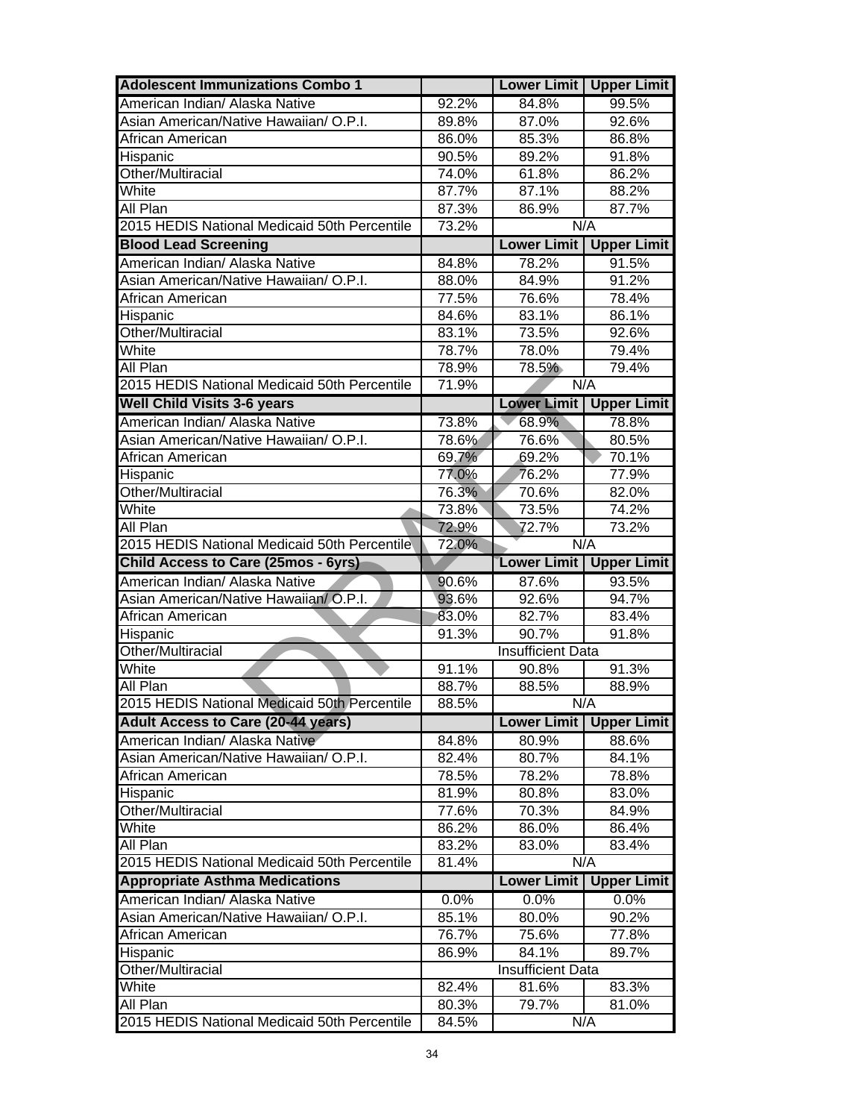| <b>Adolescent Immunizations Combo 1</b>                                  |                | <b>Upper Limit</b><br><b>Lower Limit</b> |                    |  |  |  |  |
|--------------------------------------------------------------------------|----------------|------------------------------------------|--------------------|--|--|--|--|
| American Indian/ Alaska Native                                           | 92.2%          | 84.8%                                    | 99.5%              |  |  |  |  |
| Asian American/Native Hawaiian/ O.P.I.                                   | 89.8%          | 87.0%                                    | 92.6%              |  |  |  |  |
| African American                                                         | 86.0%          | 85.3%                                    | 86.8%              |  |  |  |  |
| Hispanic                                                                 | 90.5%          | 89.2%                                    | 91.8%              |  |  |  |  |
| Other/Multiracial                                                        | 74.0%          | 61.8%                                    | 86.2%              |  |  |  |  |
| White                                                                    | 87.7%          | 87.1%                                    | 88.2%              |  |  |  |  |
| All Plan                                                                 | 87.3%          | 86.9%                                    | 87.7%              |  |  |  |  |
| 2015 HEDIS National Medicaid 50th Percentile                             | 73.2%          | N/A                                      |                    |  |  |  |  |
| <b>Blood Lead Screening</b>                                              |                | <b>Lower Limit</b>                       | <b>Upper Limit</b> |  |  |  |  |
| American Indian/ Alaska Native                                           | 84.8%          | 78.2%                                    | 91.5%              |  |  |  |  |
| Asian American/Native Hawaiian/ O.P.I.                                   | 88.0%          | 84.9%                                    | 91.2%              |  |  |  |  |
| African American                                                         | 77.5%          | 76.6%                                    | 78.4%              |  |  |  |  |
| Hispanic                                                                 | 84.6%          | 83.1%                                    | 86.1%              |  |  |  |  |
| Other/Multiracial                                                        | 83.1%          | 73.5%                                    | 92.6%              |  |  |  |  |
| White                                                                    | 78.7%          | 78.0%                                    | 79.4%              |  |  |  |  |
| All Plan                                                                 | 78.9%          | 78.5%                                    | 79.4%              |  |  |  |  |
| 2015 HEDIS National Medicaid 50th Percentile                             | 71.9%          |                                          | N/A                |  |  |  |  |
| <b>Well Child Visits 3-6 years</b>                                       |                | <b>Lower Limit</b>                       | <b>Upper Limit</b> |  |  |  |  |
| American Indian/ Alaska Native                                           | 73.8%          | 68.9%                                    | 78.8%              |  |  |  |  |
| Asian American/Native Hawaiian/ O.P.I.                                   | 78.6%          | 76.6%                                    | 80.5%              |  |  |  |  |
| African American                                                         | 69.7%          | 69.2%                                    | 70.1%              |  |  |  |  |
| Hispanic                                                                 | 77.0%          | 76.2%                                    | 77.9%              |  |  |  |  |
| Other/Multiracial                                                        | 76.3%          | 70.6%                                    | 82.0%              |  |  |  |  |
| White                                                                    | 73.8%          | 73.5%                                    | 74.2%              |  |  |  |  |
| All Plan                                                                 | 72.9%          | 72.7%                                    | 73.2%              |  |  |  |  |
| 2015 HEDIS National Medicaid 50th Percentile                             | 72.0%          |                                          | N/A                |  |  |  |  |
|                                                                          |                |                                          |                    |  |  |  |  |
| Child Access to Care (25mos - 6yrs)                                      |                | <b>Lower Limit</b>                       | <b>Upper Limit</b> |  |  |  |  |
| American Indian/ Alaska Native                                           | 90.6%          | 87.6%                                    | 93.5%              |  |  |  |  |
| Asian American/Native Hawaiian/ O.P.I.                                   | 93.6%          | 92.6%                                    | 94.7%              |  |  |  |  |
| African American                                                         | 83.0%          | 82.7%                                    | 83.4%              |  |  |  |  |
| Hispanic                                                                 | 91.3%          | 90.7%                                    | 91.8%              |  |  |  |  |
| Other/Multiracial                                                        |                | <b>Insufficient Data</b>                 |                    |  |  |  |  |
| White                                                                    | 91.1%          | 90.8%                                    | 91.3%              |  |  |  |  |
| All Plan                                                                 | 88.7%          | 88.5%                                    | 88.9%              |  |  |  |  |
| 2015 HEDIS National Medicaid 50th Percentile                             | 88.5%          | N/A                                      |                    |  |  |  |  |
| <b>Adult Access to Care (20-44 years)</b>                                |                | <b>Lower Limit</b>                       | <b>Upper Limit</b> |  |  |  |  |
| American Indian/ Alaska Native<br>Asian American/Native Hawaiian/ O.P.I. | 84.8%          | 80.9%                                    | 88.6%              |  |  |  |  |
|                                                                          | 82.4%          | 80.7%                                    | 84.1%<br>78.8%     |  |  |  |  |
| African American                                                         | 78.5%<br>81.9% | 78.2%<br>80.8%                           | 83.0%              |  |  |  |  |
| Hispanic<br>Other/Multiracial                                            | 77.6%          | 70.3%                                    | 84.9%              |  |  |  |  |
| White                                                                    | 86.2%          | 86.0%                                    | 86.4%              |  |  |  |  |
| All Plan                                                                 | 83.2%          | 83.0%                                    | 83.4%              |  |  |  |  |
| 2015 HEDIS National Medicaid 50th Percentile                             | 81.4%          | N/A                                      |                    |  |  |  |  |
| <b>Appropriate Asthma Medications</b>                                    |                | <b>Lower Limit</b>                       | <b>Upper Limit</b> |  |  |  |  |
| American Indian/ Alaska Native                                           | 0.0%           | 0.0%                                     | 0.0%               |  |  |  |  |
| Asian American/Native Hawaiian/ O.P.I.                                   | 85.1%          | 80.0%                                    | 90.2%              |  |  |  |  |
| African American                                                         | 76.7%          | 75.6%                                    | 77.8%              |  |  |  |  |
| Hispanic                                                                 | 86.9%          | 84.1%                                    | 89.7%              |  |  |  |  |
| Other/Multiracial                                                        |                | <b>Insufficient Data</b>                 |                    |  |  |  |  |
| White                                                                    | 82.4%          | 81.6%                                    | 83.3%              |  |  |  |  |
| All Plan                                                                 | 80.3%          | 79.7%                                    | 81.0%              |  |  |  |  |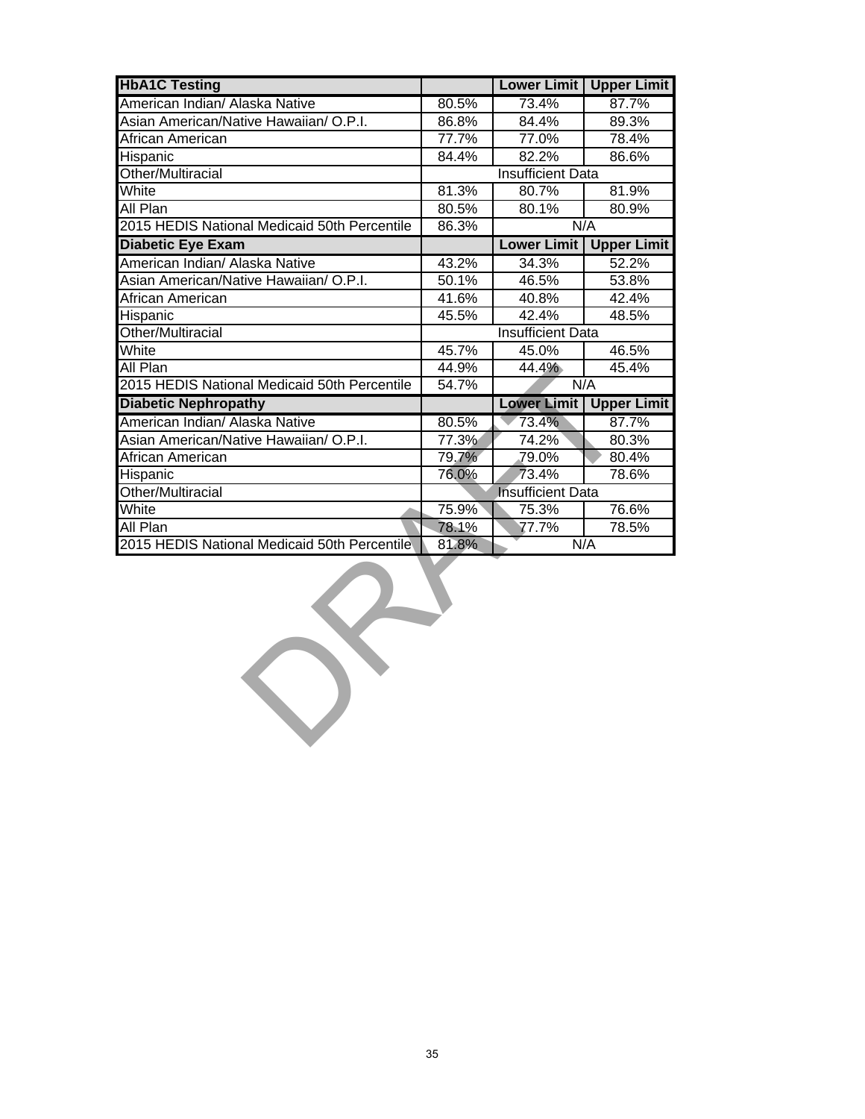| <b>HbA1C Testing</b>                         |                          | <b>Lower Limit</b>       | <b>Upper Limit</b> |  |  |  |  |  |  |
|----------------------------------------------|--------------------------|--------------------------|--------------------|--|--|--|--|--|--|
| American Indian/ Alaska Native               | 80.5%                    | 73.4%                    | 87.7%              |  |  |  |  |  |  |
| Asian American/Native Hawaiian/ O.P.I.       | 86.8%                    | 84.4%                    | 89.3%              |  |  |  |  |  |  |
| African American                             | 77.7%                    | 77.0%                    | 78.4%              |  |  |  |  |  |  |
| Hispanic                                     | 84.4%                    | 82.2%                    | 86.6%              |  |  |  |  |  |  |
| Other/Multiracial                            |                          | <b>Insufficient Data</b> |                    |  |  |  |  |  |  |
| White                                        | 81.3%                    | 80.7%                    | 81.9%              |  |  |  |  |  |  |
| All Plan                                     | 80.5%                    | 80.1%<br>80.9%           |                    |  |  |  |  |  |  |
| 2015 HEDIS National Medicaid 50th Percentile | 86.3%                    | N/A                      |                    |  |  |  |  |  |  |
| <b>Diabetic Eye Exam</b>                     |                          | <b>Lower Limit</b>       | <b>Upper Limit</b> |  |  |  |  |  |  |
| American Indian/ Alaska Native               | 43.2%                    | 34.3%                    | 52.2%              |  |  |  |  |  |  |
| Asian American/Native Hawaiian/ O.P.I.       | 50.1%                    | 46.5%                    | 53.8%              |  |  |  |  |  |  |
| African American                             | 41.6%                    | 40.8%                    | 42.4%              |  |  |  |  |  |  |
| Hispanic                                     | 45.5%                    | 42.4%                    | 48.5%              |  |  |  |  |  |  |
| Other/Multiracial                            | <b>Insufficient Data</b> |                          |                    |  |  |  |  |  |  |
| White                                        | 45.7%                    | 45.0%                    | 46.5%              |  |  |  |  |  |  |
| All Plan                                     | 44.9%                    | 44.4%                    | 45.4%              |  |  |  |  |  |  |
| 2015 HEDIS National Medicaid 50th Percentile | 54.7%                    | N/A                      |                    |  |  |  |  |  |  |
| <b>Diabetic Nephropathy</b>                  |                          | <b>Lower Limit</b>       | <b>Upper Limit</b> |  |  |  |  |  |  |
| American Indian/ Alaska Native               | 80.5%                    | 73.4%                    | 87.7%              |  |  |  |  |  |  |
| Asian American/Native Hawaiian/ O.P.I.       | 77.3%                    | 74.2%                    | 80.3%              |  |  |  |  |  |  |
| African American                             | 79.7%                    | 79.0%                    | 80.4%              |  |  |  |  |  |  |
| Hispanic                                     | 76.0%                    | 78.6%                    |                    |  |  |  |  |  |  |
| Other/Multiracial                            | <b>Insufficient Data</b> |                          |                    |  |  |  |  |  |  |
| White                                        | 75.9%                    | 75.3%                    | 76.6%              |  |  |  |  |  |  |
| All Plan                                     | 78.1%                    | 77.7%                    | 78.5%              |  |  |  |  |  |  |
| 2015 HEDIS National Medicaid 50th Percentile | 81.8%                    | N/A                      |                    |  |  |  |  |  |  |